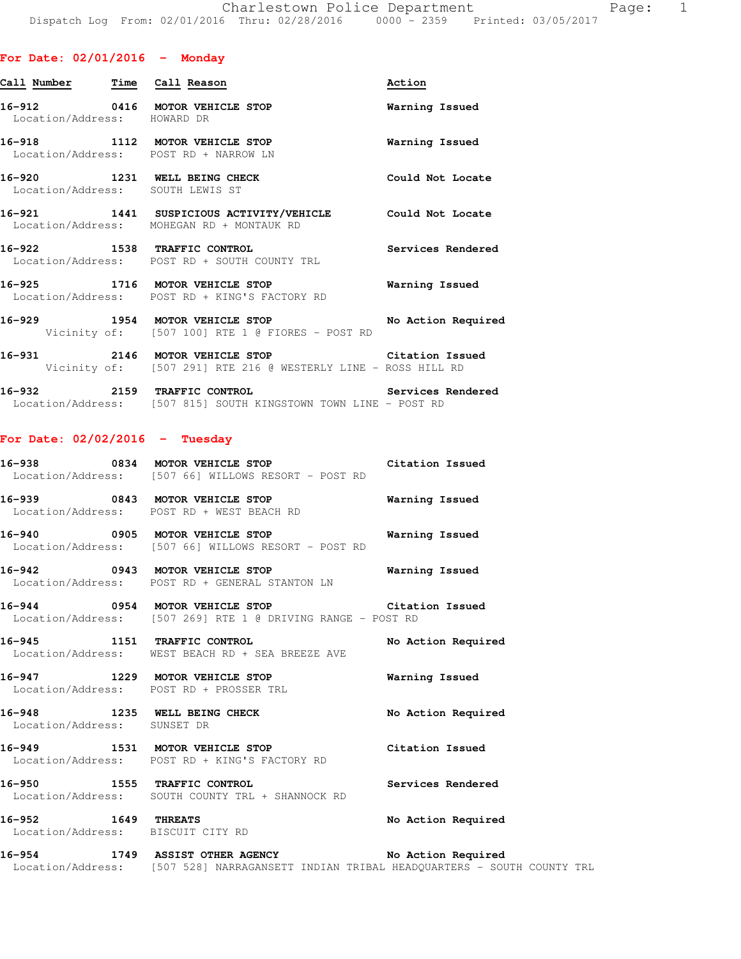### **For Date: 02/01/2016 - Monday**

| Call Number Time Call Reason                                            |                                                                                                                 | Action             |
|-------------------------------------------------------------------------|-----------------------------------------------------------------------------------------------------------------|--------------------|
| Location/Address: HOWARD DR                                             | 16-912 0416 MOTOR VEHICLE STOP                                                                                  | Warning Issued     |
| 16-918 1112 MOTOR VEHICLE STOP<br>Location/Address: POST RD + NARROW LN | Warning Issued                                                                                                  |                    |
| Location/Address: SOUTH LEWIS ST                                        | 16-920 1231 WELL BEING CHECK                                                                                    | Could Not Locate   |
|                                                                         | 16-921 1441 SUSPICIOUS ACTIVITY/VEHICLE Could Not Locate<br>Location/Address: MOHEGAN RD + MONTAUK RD           |                    |
|                                                                         | Services Rendered<br>16-922 1538 TRAFFIC CONTROL<br>Location/Address: POST RD + SOUTH COUNTY TRL                |                    |
|                                                                         | 16-925 1716 MOTOR VEHICLE STOP<br>Location/Address: POST RD + KING'S FACTORY RD                                 | Warning Issued     |
|                                                                         | 16-929 1954 MOTOR VEHICLE STOP<br>Vicinity of: [507 100] RTE 1 @ FIORES - POST RD                               | No Action Required |
|                                                                         | 16-931 2146 MOTOR VEHICLE STOP Citation Issued<br>Vicinity of: [507 291] RTE 216 @ WESTERLY LINE - ROSS HILL RD |                    |
| $16 - 022$                                                              | <b>TOADDIA CONTROL</b>                                                                                          | Servises Bendered  |

**16-932 2159 TRAFFIC CONTROL Services Rendered**  Location/Address: [507 815] SOUTH KINGSTOWN TOWN LINE - POST RD

### **For Date: 02/02/2016 - Tuesday**

| 16-938 | 0834 | <b>MOTOR VEHICLE STOP</b>                           | Citation Issued |
|--------|------|-----------------------------------------------------|-----------------|
|        |      | Location/Address: [507 66] WILLOWS RESORT - POST RD |                 |
| 16-939 | 0843 | MOTOR VEHICLE STOP                                  | Warning Issued  |
|        |      | Location/Address: POST RD + WEST BEACH RD           |                 |
| 16-940 | 0905 | MOTOR VEHICLE STOP                                  | Warning Issued  |
|        |      | Location/Address: [507 66] WILLOWS RESORT - POST RD |                 |

**16-942 0943 MOTOR VEHICLE STOP Warning Issued**  Location/Address: POST RD + GENERAL STANTON LN

**16-944 0954 MOTOR VEHICLE STOP Citation Issued**  Location/Address: [507 269] RTE 1 @ DRIVING RANGE - POST RD

**16-945 1151 TRAFFIC CONTROL No Action Required**  Location/Address: WEST BEACH RD + SEA BREEZE AVE

**16-947 1229 MOTOR VEHICLE STOP Warning Issued**  Location/Address: POST RD + PROSSER TRL

**16-948 1235 WELL BEING CHECK No Action Required**  Location/Address: SUNSET DR

**16-949 1531 MOTOR VEHICLE STOP Citation Issued**  Location/Address: POST RD + KING'S FACTORY RD

**16-950 1555 TRAFFIC CONTROL Services Rendered**  Location/Address: SOUTH COUNTY TRL + SHANNOCK RD

**16-952 1649 THREATS No Action Required**  Location/Address: BISCUIT CITY RD

**16-954 1749 ASSIST OTHER AGENCY No Action Required**  Location/Address: [507 528] NARRAGANSETT INDIAN TRIBAL HEADQUARTERS - SOUTH COUNTY TRL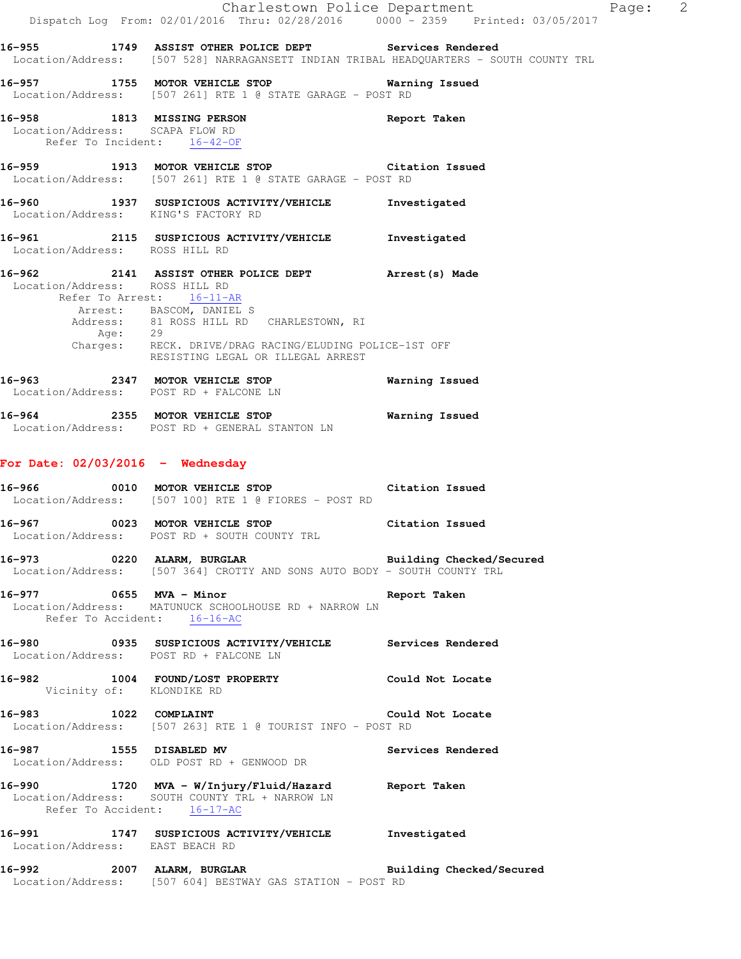|                                 |                                                                                                                                                                                                                                                                      | Charlestown Police Department<br>Page: 2<br>Dispatch Log From: 02/01/2016 Thru: 02/28/2016 0000 <sup>-</sup> 2359 Printed: 03/05/2017 |
|---------------------------------|----------------------------------------------------------------------------------------------------------------------------------------------------------------------------------------------------------------------------------------------------------------------|---------------------------------------------------------------------------------------------------------------------------------------|
|                                 | 16-955 1749 ASSIST OTHER POLICE DEPT Services Rendered                                                                                                                                                                                                               | Location/Address: [507 528] NARRAGANSETT INDIAN TRIBAL HEADQUARTERS - SOUTH COUNTY TRL                                                |
|                                 | 16-957 1755 MOTOR VEHICLE STOP 16-957 Warning Issued<br>Location/Address: [507 261] RTE 1 @ STATE GARAGE - POST RD                                                                                                                                                   |                                                                                                                                       |
|                                 | 16-958 1813 MISSING PERSON<br>Location/Address: SCAPA FLOW RD<br>Refer To Incident: 16-42-OF                                                                                                                                                                         | Report Taken                                                                                                                          |
|                                 | 16-959 1913 MOTOR VEHICLE STOP Citation Issued<br>Location/Address: [507 261] RTE 1 @ STATE GARAGE - POST RD                                                                                                                                                         |                                                                                                                                       |
|                                 | 16-960 1937 SUSPICIOUS ACTIVITY/VEHICLE Investigated<br>Location/Address: KING'S FACTORY RD                                                                                                                                                                          |                                                                                                                                       |
| Location/Address: ROSS HILL RD  | 16-961 2115 SUSPICIOUS ACTIVITY/VEHICLE Investigated                                                                                                                                                                                                                 |                                                                                                                                       |
| Location/Address: ROSS HILL RD  | 16-962 2141 ASSIST OTHER POLICE DEPT Arrest (s) Made<br>Refer To Arrest: 16-11-AR<br>Arrest: BASCOM, DANIEL S<br>Address: 81 ROSS HILL RD CHARLESTOWN, RI<br>Age: 29<br>Charges: RECK. DRIVE/DRAG RACING/ELUDING POLICE-1ST OFF<br>RESISTING LEGAL OR ILLEGAL ARREST |                                                                                                                                       |
|                                 | 16-963 2347 MOTOR VEHICLE STOP<br>Location/Address: POST RD + FALCONE LN                                                                                                                                                                                             | Warning Issued                                                                                                                        |
|                                 | 16-964 2355 MOTOR VEHICLE STOP<br>Location/Address: POST RD + GENERAL STANTON LN                                                                                                                                                                                     | <b>Warning Issued</b>                                                                                                                 |
|                                 | For Date: $02/03/2016$ - Wednesday                                                                                                                                                                                                                                   |                                                                                                                                       |
|                                 | 16-966 0010 MOTOR VEHICLE STOP Citation Issued<br>Location/Address: [507 100] RTE 1 @ FIORES - POST RD                                                                                                                                                               |                                                                                                                                       |
|                                 | 16-967 0023 MOTOR VEHICLE STOP<br>Location/Address: POST RD + SOUTH COUNTY TRL                                                                                                                                                                                       | Citation Issued                                                                                                                       |
|                                 | 16-973 0220 ALARM, BURGLAR BURGER Building Checked/Secured<br>Location/Address: [507 364] CROTTY AND SONS AUTO BODY - SOUTH COUNTY TRL                                                                                                                               |                                                                                                                                       |
|                                 | 16-977 0655 MVA - Minor<br>Location/Address: MATUNUCK SCHOOLHOUSE RD + NARROW LN<br>Refer To Accident: 16-16-AC                                                                                                                                                      | Report Taken                                                                                                                          |
|                                 | 16-980 		 0935 SUSPICIOUS ACTIVITY/VEHICLE Services Rendered<br>Location/Address: POST RD + FALCONE LN                                                                                                                                                               |                                                                                                                                       |
|                                 | 16-982 1004 FOUND/LOST PROPERTY Could Not Locate<br>Vicinity of: KLONDIKE RD                                                                                                                                                                                         |                                                                                                                                       |
| 16-983 1022 COMPLAINT           | Location/Address: [507 263] RTE 1 @ TOURIST INFO - POST RD                                                                                                                                                                                                           | Could Not Locate                                                                                                                      |
| 16-987 1555 DISABLED MV         | Location/Address: OLD POST RD + GENWOOD DR                                                                                                                                                                                                                           | Services Rendered                                                                                                                     |
|                                 | 16-990 1720 MVA - W/Injury/Fluid/Hazard Report Taken<br>Location/Address: SOUTH COUNTY TRL + NARROW LN<br>Refer To Accident: 16-17-AC                                                                                                                                |                                                                                                                                       |
| Location/Address: EAST BEACH RD | 16-991 1747 SUSPICIOUS ACTIVITY/VEHICLE Investigated                                                                                                                                                                                                                 |                                                                                                                                       |
|                                 | 16-992 2007 ALARM, BURGLAR<br>Location/Address: [507 604] BESTWAY GAS STATION - POST RD                                                                                                                                                                              | Building Checked/Secured                                                                                                              |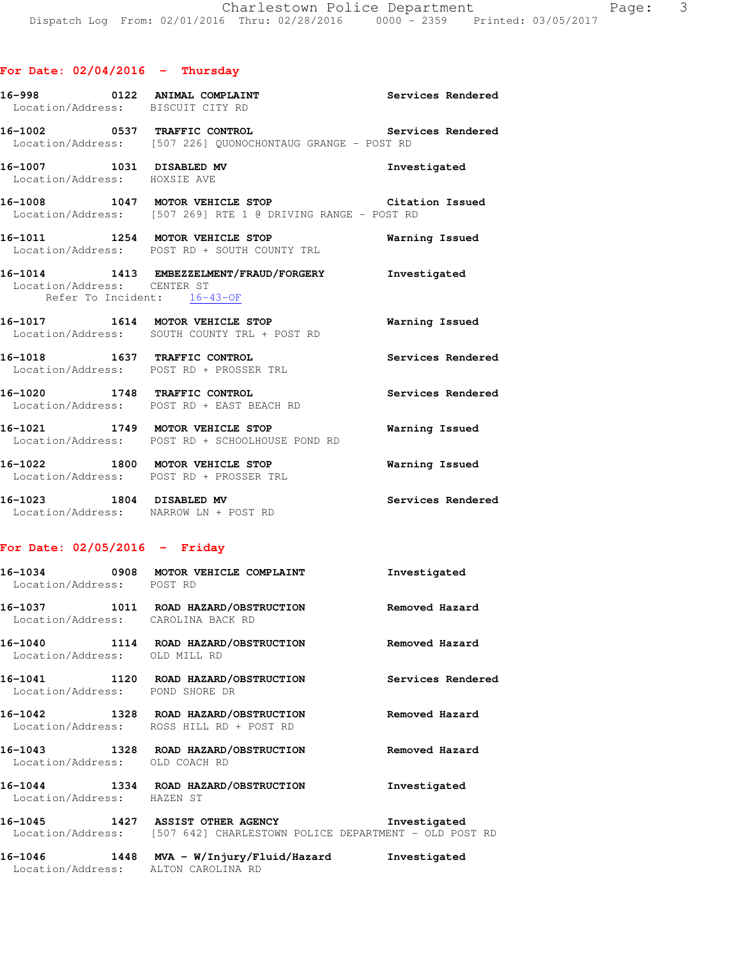# **For Date: 02/04/2016 - Thursday**

|                                                          | 16-998 0122 ANIMAL COMPLAINT Services Rendered<br>Location/Address: BISCUIT CITY RD                               |                   |
|----------------------------------------------------------|-------------------------------------------------------------------------------------------------------------------|-------------------|
|                                                          | 16-1002 0537 TRAFFIC CONTROL Services Rendered<br>Location/Address: [507 226] QUONOCHONTAUG GRANGE - POST RD      |                   |
| 16-1007 1031 DISABLED MV<br>Location/Address: HOXSIE AVE |                                                                                                                   | Investigated      |
|                                                          | 16-1008 1047 MOTOR VEHICLE STOP 60 Citation Issued<br>Location/Address: [507 269] RTE 1 @ DRIVING RANGE - POST RD |                   |
|                                                          | 16-1011 1254 MOTOR VEHICLE STOP <b>Warning Issued</b><br>Location/Address: POST RD + SOUTH COUNTY TRL             |                   |
| Location/Address: CENTER ST                              | 16-1014 1413 EMBEZZELMENT/FRAUD/FORGERY Investigated<br>Refer To Incident: 16-43-OF                               |                   |
|                                                          | 16-1017 1614 MOTOR VEHICLE STOP 16 Warning Issued<br>Location/Address: SOUTH COUNTY TRL + POST RD                 |                   |
|                                                          | 16-1018 1637 TRAFFIC CONTROL<br>Location/Address: POST RD + PROSSER TRL                                           | Services Rendered |
|                                                          | 16-1020 1748 TRAFFIC CONTROL<br>Location/Address: POST RD + EAST BEACH RD                                         | Services Rendered |
|                                                          | 16-1021 1749 MOTOR VEHICLE STOP<br>Location/Address: POST RD + SCHOOLHOUSE POND RD                                | Warning Issued    |
|                                                          | 16-1022 1800 MOTOR VEHICLE STOP<br>Location/Address: POST RD + PROSSER TRL                                        | Warning Issued    |
|                                                          | 16-1023 1804 DISABLED MV<br>Location/Address: NARROW LN + POST RD                                                 | Services Rendered |

# **For Date: 02/05/2016 - Friday**

| Location/Address: POST RD       | 16-1034 0908 MOTOR VEHICLE COMPLAINT                                                                        | Investigated          |
|---------------------------------|-------------------------------------------------------------------------------------------------------------|-----------------------|
|                                 | 16-1037 1011 ROAD HAZARD/OBSTRUCTION<br>Location/Address: CAROLINA BACK RD                                  | <b>Removed Hazard</b> |
| Location/Address: OLD MILL RD   | 16-1040 1114 ROAD HAZARD/OBSTRUCTION Removed Hazard                                                         |                       |
| Location/Address: POND SHORE DR | 16-1041 1120 ROAD HAZARD/OBSTRUCTION Services Rendered                                                      |                       |
|                                 | 16-1042 1328 ROAD HAZARD/OBSTRUCTION<br>Location/Address: ROSS HILL RD + POST RD                            | Removed Hazard        |
| Location/Address: OLD COACH RD  | 16-1043 1328 ROAD HAZARD/OBSTRUCTION                                                                        | Removed Hazard        |
| Location/Address: HAZEN ST      | 16-1044 1334 ROAD HAZARD/OBSTRUCTION                                                                        | Investigated          |
|                                 | 16-1045 1427 ASSIST OTHER AGENCY<br>Location/Address: [507 642] CHARLESTOWN POLICE DEPARTMENT - OLD POST RD | Investigated          |
|                                 | 16-1046   1448   MVA - W/Injury/Fluid/Hazard<br>Location/Address: ALTON CAROLINA RD                         | Investigated          |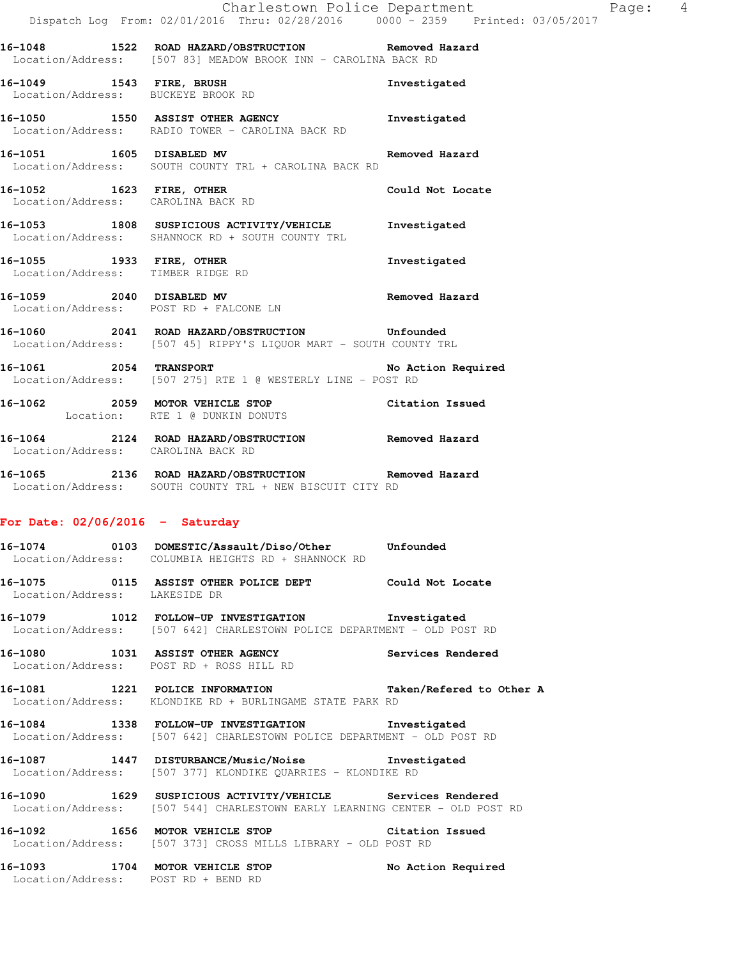|  |  | Charlestown Police Department                                                    |  | Page: | 4 |
|--|--|----------------------------------------------------------------------------------|--|-------|---|
|  |  | Dispatch Log From: 02/01/2016 Thru: 02/28/2016  0000 - 2359  Printed: 03/05/2017 |  |       |   |

**16-1048 1522 ROAD HAZARD/OBSTRUCTION Removed Hazard**  Location/Address: [507 83] MEADOW BROOK INN - CAROLINA BACK RD

**16-1049 1543 FIRE, BRUSH Investigated**  Location/Address: BUCKEYE BROOK RD **16-1050 1550 ASSIST OTHER AGENCY Investigated**  Location/Address: RADIO TOWER - CAROLINA BACK RD **16-1051 1605 DISABLED MV Removed Hazard**  Location/Address: SOUTH COUNTY TRL + CAROLINA BACK RD **16-1052 1623 FIRE, OTHER Could Not Locate**  Location/Address: CAROLINA BACK RD **16-1053 1808 SUSPICIOUS ACTIVITY/VEHICLE Investigated**  Location/Address: SHANNOCK RD + SOUTH COUNTY TRL **16-1055 1933 FIRE, OTHER Investigated**  Location/Address: TIMBER RIDGE RD **16-1059 2040 DISABLED MV Removed Hazard**  Location/Address: POST RD + FALCONE LN **16-1060 2041 ROAD HAZARD/OBSTRUCTION Unfounded** 

Location/Address: [507 45] RIPPY'S LIQUOR MART - SOUTH COUNTY TRL

**16-1061 2054 TRANSPORT No Action Required**  Location/Address: [507 275] RTE 1 @ WESTERLY LINE - POST RD

**16-1062 2059 MOTOR VEHICLE STOP Citation Issued**  Location: RTE 1 @ DUNKIN DONUTS

**16-1064 2124 ROAD HAZARD/OBSTRUCTION Removed Hazard**  Location/Address: CAROLINA BACK RD

**16-1065 2136 ROAD HAZARD/OBSTRUCTION Removed Hazard**  Location/Address: SOUTH COUNTY TRL + NEW BISCUIT CITY RD

#### **For Date: 02/06/2016 - Saturday**

**16-1074 0103 DOMESTIC/Assault/Diso/Other Unfounded**  Location/Address: COLUMBIA HEIGHTS RD + SHANNOCK RD

**16-1075 0115 ASSIST OTHER POLICE DEPT Could Not Locate**  Location/Address: LAKESIDE DR

**16-1079 1012 FOLLOW-UP INVESTIGATION Investigated**  Location/Address: [507 642] CHARLESTOWN POLICE DEPARTMENT - OLD POST RD

**16-1080 1031 ASSIST OTHER AGENCY Services Rendered**  Location/Address: POST RD + ROSS HILL RD

**16-1081 1221 POLICE INFORMATION Taken/Refered to Other A**  Location/Address: KLONDIKE RD + BURLINGAME STATE PARK RD

**16-1084 1338 FOLLOW-UP INVESTIGATION Investigated**  Location/Address: [507 642] CHARLESTOWN POLICE DEPARTMENT - OLD POST RD

**16-1087 1447 DISTURBANCE/Music/Noise Investigated**  Location/Address: [507 377] KLONDIKE QUARRIES - KLONDIKE RD

**16-1090 1629 SUSPICIOUS ACTIVITY/VEHICLE Services Rendered**  Location/Address: [507 544] CHARLESTOWN EARLY LEARNING CENTER - OLD POST RD

**16-1092 1656 MOTOR VEHICLE STOP Citation Issued**  Location/Address: [507 373] CROSS MILLS LIBRARY - OLD POST RD

**16-1093 1704 MOTOR VEHICLE STOP No Action Required**  Location/Address: POST RD + BEND RD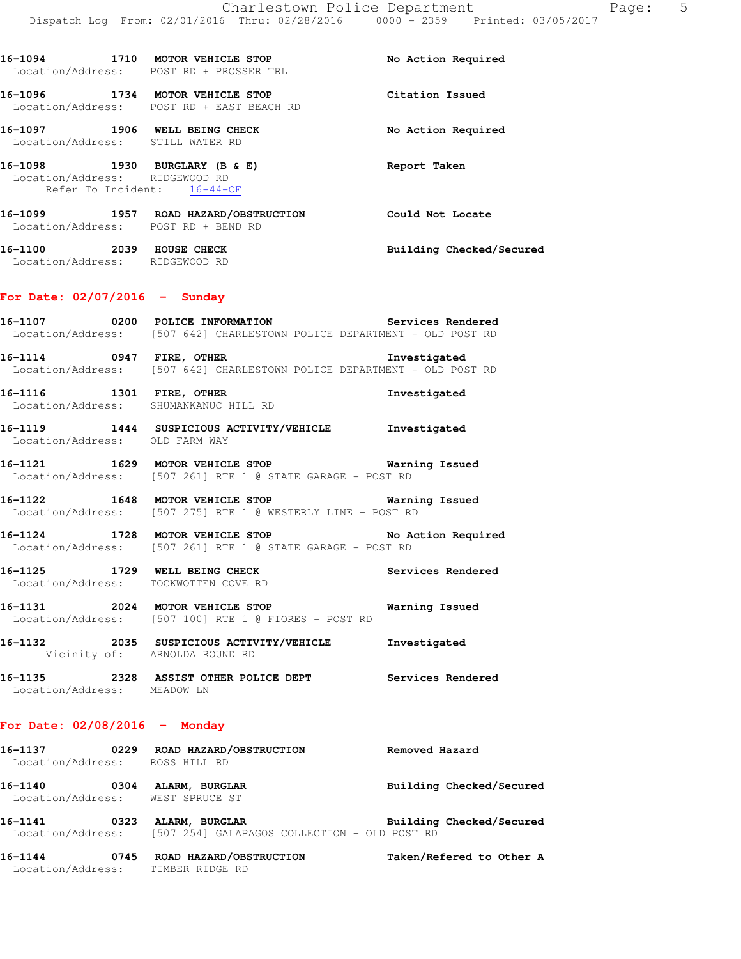|                                 | 16-1094 1710 MOTOR VEHICLE STOP No Action Required<br>Location/Address: POST RD + PROSSER TRL                                |                          |
|---------------------------------|------------------------------------------------------------------------------------------------------------------------------|--------------------------|
|                                 | 16-1096 1734 MOTOR VEHICLE STOP<br>Location/Address: POST RD + EAST BEACH RD                                                 | Citation Issued          |
|                                 | 16-1097 1906 WELL BEING CHECK<br>Location/Address: STILL WATER RD                                                            | No Action Required       |
| Location/Address: RIDGEWOOD RD  | 16-1098 1930 BURGLARY (B & E)<br>Refer To Incident: 16-44-OF                                                                 | Report Taken             |
|                                 | 16-1099 1957 ROAD HAZARD/OBSTRUCTION Could Not Locate<br>Location/Address: POST RD + BEND RD                                 |                          |
| 16-1100 2039 HOUSE CHECK        | Location/Address: RIDGEWOOD RD                                                                                               | Building Checked/Secured |
| For Date: $02/07/2016$ - Sunday |                                                                                                                              |                          |
|                                 | 16-1107 0200 POLICE INFORMATION Services Rendered<br>Location/Address: [507 642] CHARLESTOWN POLICE DEPARTMENT - OLD POST RD |                          |
|                                 | Location/Address: [507 642] CHARLESTOWN POLICE DEPARTMENT - OLD POST RD                                                      |                          |
|                                 | 16-1116 1301 FIRE, OTHER<br>Location/Address: SHUMANKANUC HILL RD                                                            | Investigated             |
| Location/Address: OLD FARM WAY  | 16-1119 1444 SUSPICIOUS ACTIVITY/VEHICLE Investigated                                                                        |                          |
|                                 | 16-1121 1629 MOTOR VEHICLE STOP 10 Warning Issued<br>Location/Address: [507 261] RTE 1 @ STATE GARAGE - POST RD              |                          |
|                                 | 16-1122 1648 MOTOR VEHICLE STOP Warning Issued<br>Location/Address: [507 275] RTE 1 @ WESTERLY LINE - POST RD                |                          |
|                                 | 16-1124 1728 MOTOR VEHICLE STOP<br>Location/Address: [507 261] RTE 1 @ STATE GARAGE - POST RD                                | No Action Required       |
|                                 | 16-1125 1729 WELL BEING CHECK Services Rendered<br>Location/Address: TOCKWOTTEN COVE RD                                      |                          |
|                                 | 16-1131 2024 MOTOR VEHICLE STOP<br>Location/Address: [507 100] RTE 1 @ FIORES - POST RD                                      | Warning Issued           |
|                                 | 16-1132 2035 SUSPICIOUS ACTIVITY/VEHICLE Investigated<br>Vicinity of: ARNOLDA ROUND RD                                       |                          |
| Location/Address: MEADOW LN     | 16-1135 2328 ASSIST OTHER POLICE DEPT Services Rendered                                                                      |                          |
| For Date: $02/08/2016$ - Monday |                                                                                                                              |                          |
| Location/Address: ROSS HILL RD  | 16-1137 			 0229 ROAD HAZARD/OBSTRUCTION 			 Removed Hazard                                                                  |                          |
|                                 | 16-1140 0304 ALARM, BURGLAR<br>Location/Address: WEST SPRUCE ST                                                              | Building Checked/Secured |
|                                 | 16-1141 0323 ALARM, BURGLAR<br>Location/Address: [507 254] GALAPAGOS COLLECTION - OLD POST RD                                | Building Checked/Secured |
|                                 | 16-1144 0745 ROAD HAZARD/OBSTRUCTION Taken/Refered to Other A                                                                |                          |

Location/Address: TIMBER RIDGE RD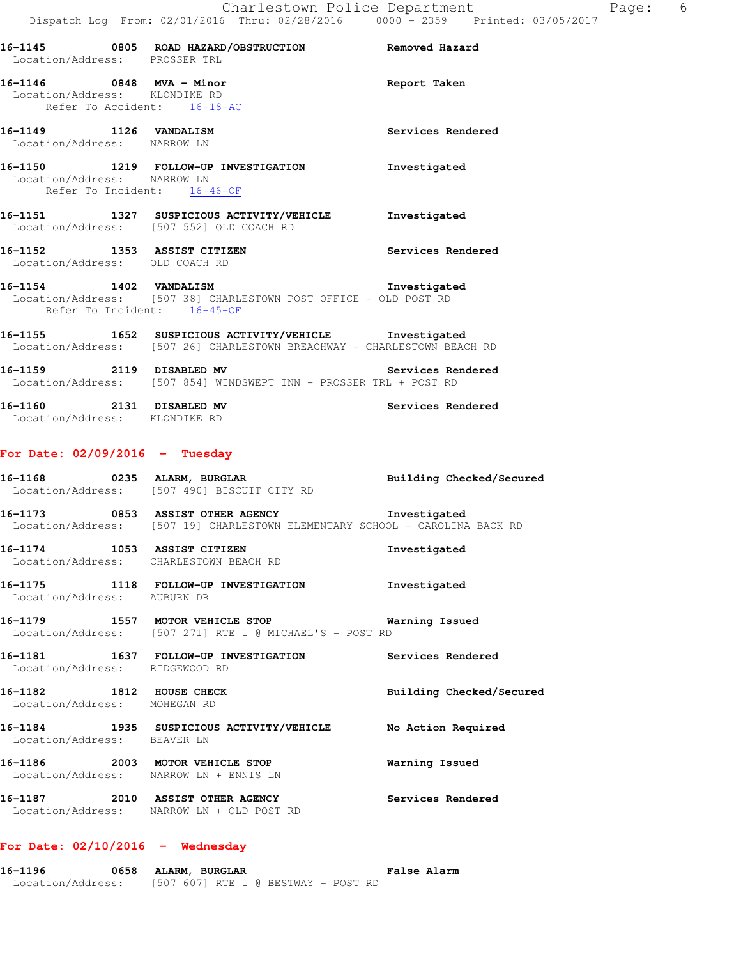| 16-1145 0805 ROAD HAZARD/OBSTRUCTION Removed Hazard<br>Location/Address: PROSSER TRL<br>Report Taken<br>Location/Address: KLONDIKE RD<br>Refer To Accident: 16-18-AC<br>Services Rendered<br>Location/Address: NARROW LN<br>Location/Address: NARROW LN<br>Refer To Incident: 16-46-OF<br>Location/Address: [507 552] OLD COACH RD<br>Services Rendered<br>Location/Address: OLD COACH RD<br>Investigated<br>Refer To Incident: 16-45-OF<br>Services Rendered<br>Services Rendered<br>Location/Address: KLONDIKE RD<br>Building Checked/Secured<br>Investigated                                                                                                                                                                                 |  | Dispatch Log From: 02/01/2016 Thru: 02/28/2016   0000 - 2359   Printed: 03/ | ∸ |
|-------------------------------------------------------------------------------------------------------------------------------------------------------------------------------------------------------------------------------------------------------------------------------------------------------------------------------------------------------------------------------------------------------------------------------------------------------------------------------------------------------------------------------------------------------------------------------------------------------------------------------------------------------------------------------------------------------------------------------------------------|--|-----------------------------------------------------------------------------|---|
| 16-1146 0848 MVA - Minor<br>16-1149 1126 VANDALISM<br>16-1150 1219 FOLLOW-UP INVESTIGATION Investigated<br>16-1151 1327 SUSPICIOUS ACTIVITY/VEHICLE Investigated<br>16-1152 1353 ASSIST CITIZEN<br>16-1154 1402 VANDALISM Investigate<br>Location/Address: [507 38] CHARLESTOWN POST OFFICE - OLD POST RD<br>16-1155 1652 SUSPICIOUS ACTIVITY/VEHICLE Investigated<br>Location/Address: [507 26] CHARLESTOWN BREACHWAY - CHARLESTOWN BEACH RD<br>16-1159 2119 DISABLED MV Services Remain of the Services Remain of the Services Remain of the Services Remain of the Services Remain of the Services Services Remains and Services Remains and Services Remains and Services R<br>16-1160 2131 DISABLED MV<br>For Date: $02/09/2016$ - Tuesday |  |                                                                             |   |
|                                                                                                                                                                                                                                                                                                                                                                                                                                                                                                                                                                                                                                                                                                                                                 |  |                                                                             |   |
|                                                                                                                                                                                                                                                                                                                                                                                                                                                                                                                                                                                                                                                                                                                                                 |  |                                                                             |   |
|                                                                                                                                                                                                                                                                                                                                                                                                                                                                                                                                                                                                                                                                                                                                                 |  |                                                                             |   |
|                                                                                                                                                                                                                                                                                                                                                                                                                                                                                                                                                                                                                                                                                                                                                 |  |                                                                             |   |
|                                                                                                                                                                                                                                                                                                                                                                                                                                                                                                                                                                                                                                                                                                                                                 |  |                                                                             |   |
|                                                                                                                                                                                                                                                                                                                                                                                                                                                                                                                                                                                                                                                                                                                                                 |  |                                                                             |   |
|                                                                                                                                                                                                                                                                                                                                                                                                                                                                                                                                                                                                                                                                                                                                                 |  |                                                                             |   |
|                                                                                                                                                                                                                                                                                                                                                                                                                                                                                                                                                                                                                                                                                                                                                 |  |                                                                             |   |
|                                                                                                                                                                                                                                                                                                                                                                                                                                                                                                                                                                                                                                                                                                                                                 |  |                                                                             |   |
| 16-1168 0235 ALARM, BURGLAR<br>Location/Address: [507 490] BISCUIT CITY RD<br>16-1173 0853 ASSIST OTHER AGENCY Investigated<br>Location/Address: [507 19] CHARLESTOWN ELEMENTARY SCHOOL - CAROLINA BACK RD<br> <br> 16-1174 1053 ASSIST CITIZEN                                                                                                                                                                                                                                                                                                                                                                                                                                                                                                 |  |                                                                             |   |
|                                                                                                                                                                                                                                                                                                                                                                                                                                                                                                                                                                                                                                                                                                                                                 |  |                                                                             |   |
|                                                                                                                                                                                                                                                                                                                                                                                                                                                                                                                                                                                                                                                                                                                                                 |  |                                                                             |   |
| Location/Address: CHARLESTOWN BEACH RD                                                                                                                                                                                                                                                                                                                                                                                                                                                                                                                                                                                                                                                                                                          |  |                                                                             |   |

**16-1175 1118 FOLLOW-UP INVESTIGATION Investigated**  Location/Address: AUBURN DR

**16-1179 1557 MOTOR VEHICLE STOP Warning Issued**  Location/Address: [507 271] RTE 1 @ MICHAEL'S - POST RD

**16-1181 1637 FOLLOW-UP INVESTIGATION Services Rendered**  Location/Address: RIDGEWOOD RD

16-1182 1812 HOUSE CHECK **Building Checked/Secured**  Location/Address: MOHEGAN RD **16-1184 1935 SUSPICIOUS ACTIVITY/VEHICLE No Action Required**  Location/Address: BEAVER LN **16-1186 2003 MOTOR VEHICLE STOP Warning Issued**  Location/Address: NARROW LN + ENNIS LN

**16-1187 2010 ASSIST OTHER AGENCY Services Rendered**  Location/Address: NARROW LN + OLD POST RD

# **For Date: 02/10/2016 - Wednesday**

| 16–1196           | 0658 ALARM, BURGLAR |  |  |                                     |  | <b>False Alarm</b> |  |
|-------------------|---------------------|--|--|-------------------------------------|--|--------------------|--|
| Location/Address: |                     |  |  | [507 607] RTE 1 @ BESTWAY - POST RD |  |                    |  |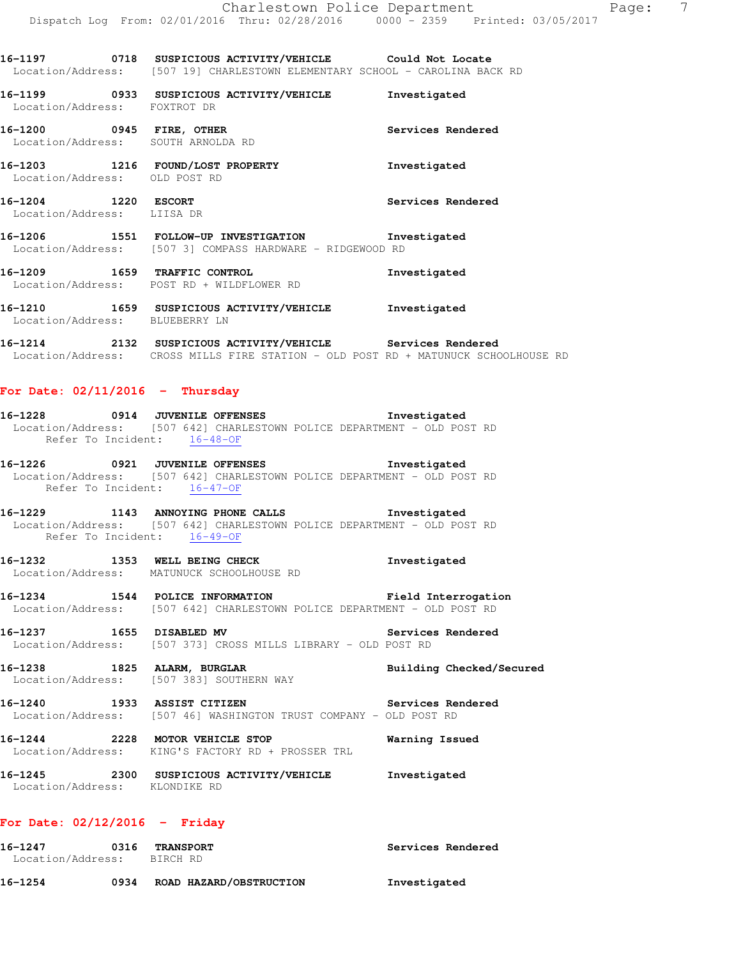**16-1197 0718 SUSPICIOUS ACTIVITY/VEHICLE Could Not Locate**  Location/Address: [507 19] CHARLESTOWN ELEMENTARY SCHOOL - CAROLINA BACK RD

- **16-1199 0933 SUSPICIOUS ACTIVITY/VEHICLE Investigated**  Location/Address: FOXTROT DR **16-1200 0945 FIRE, OTHER Services Rendered**  Location/Address: SOUTH ARNOLDA RD **16-1203 1216 FOUND/LOST PROPERTY Investigated**  Location/Address: OLD POST RD **16-1204 1220 ESCORT Services Rendered**  Location/Address: LIISA DR **16-1206 1551 FOLLOW-UP INVESTIGATION Investigated**  Location/Address: [507 3] COMPASS HARDWARE - RIDGEWOOD RD
- **16-1209 1659 TRAFFIC CONTROL Investigated**  Location/Address: POST RD + WILDFLOWER RD **16-1210 1659 SUSPICIOUS ACTIVITY/VEHICLE Investigated**
- Location/Address: BLUEBERRY LN
- **16-1214 2132 SUSPICIOUS ACTIVITY/VEHICLE Services Rendered**  Location/Address: CROSS MILLS FIRE STATION - OLD POST RD + MATUNUCK SCHOOLHOUSE RD

## **For Date: 02/11/2016 - Thursday**

- **16-1228 0914 JUVENILE OFFENSES Investigated**  Location/Address: [507 642] CHARLESTOWN POLICE DEPARTMENT - OLD POST RD Refer To Incident:  $\frac{16-48-OF}{2}$
- **16-1226 0921 JUVENILE OFFENSES Investigated**  Location/Address: [507 642] CHARLESTOWN POLICE DEPARTMENT - OLD POST RD Refer To Incident: 16-47-OF
- **16-1229 1143 ANNOYING PHONE CALLS Investigated**  Location/Address: [507 642] CHARLESTOWN POLICE DEPARTMENT - OLD POST RD Refer To Incident: 16-49-OF
- **16-1232 1353 WELL BEING CHECK Investigated**  Location/Address: MATUNUCK SCHOOLHOUSE RD
- **16-1234 1544 POLICE INFORMATION Field Interrogation**  Location/Address: [507 642] CHARLESTOWN POLICE DEPARTMENT - OLD POST RD
- **16-1237 1655 DISABLED MV Services Rendered**  Location/Address: [507 373] CROSS MILLS LIBRARY - OLD POST RD
- **16-1238 1825 ALARM, BURGLAR Building Checked/Secured**  Location/Address: [507 383] SOUTHERN WAY
- **16-1240 1933 ASSIST CITIZEN Services Rendered**  Location/Address: [507 46] WASHINGTON TRUST COMPANY - OLD POST RD
- **16-1244 2228 MOTOR VEHICLE STOP Warning Issued**  Location/Address: KING'S FACTORY RD + PROSSER TRL
- **16-1245 2300 SUSPICIOUS ACTIVITY/VEHICLE Investigated**  Location/Address: KLONDIKE RD

#### **For Date: 02/12/2016 - Friday**

| 0316 | <b>TRANSPORT</b>        | Services Rendered |
|------|-------------------------|-------------------|
|      | BIRCH RD                |                   |
| 0934 | ROAD HAZARD/OBSTRUCTION | Investigated      |
|      | Location/Address:       |                   |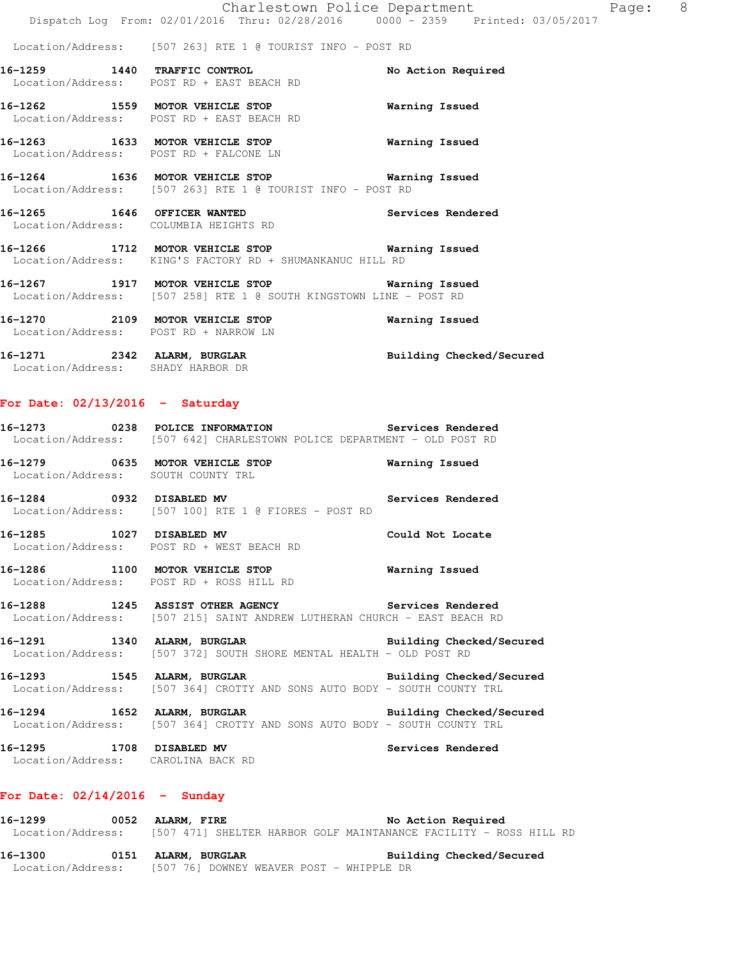Location/Address: [507 263] RTE 1 @ TOURIST INFO - POST RD

- **16-1259 1440 TRAFFIC CONTROL No Action Required**  Location/Address: POST RD + EAST BEACH RD
- **16-1262 1559 MOTOR VEHICLE STOP Warning Issued**  Location/Address: POST RD + EAST BEACH RD
- **16-1263 1633 MOTOR VEHICLE STOP Warning Issued**  Location/Address: POST RD + FALCONE LN
- **16-1264 1636 MOTOR VEHICLE STOP Warning Issued**  Location/Address: [507 263] RTE 1 @ TOURIST INFO - POST RD
- **16-1265 1646 OFFICER WANTED Services Rendered**  Location/Address: COLUMBIA HEIGHTS RD
- **16-1266 1712 MOTOR VEHICLE STOP Warning Issued**  Location/Address: KING'S FACTORY RD + SHUMANKANUC HILL RD
- **16-1267 1917 MOTOR VEHICLE STOP Warning Issued**  Location/Address: [507 258] RTE 1 @ SOUTH KINGSTOWN LINE - POST RD
- **16-1270 2109 MOTOR VEHICLE STOP Warning Issued**  Location/Address: POST RD + NARROW LN
- **16-1271 2342 ALARM, BURGLAR Building Checked/Secured**  Location/Address: SHADY HARBOR DR

#### **For Date: 02/13/2016 - Saturday**

|                                    | 16-1273  0238  POLICE INFORMATION  Services Rendered<br>  Location/Address: [507 642] CHARLESTOWN POLICE DEPARTMENT - OLD POST RD       |  |
|------------------------------------|-----------------------------------------------------------------------------------------------------------------------------------------|--|
| Location/Address: SOUTH COUNTY TRL |                                                                                                                                         |  |
|                                    | 16-1284  0932 DISABLED MV  Services Rendered<br>Location/Address: [507 100] RTE 1 @ FIORES - POST RD                                    |  |
|                                    | 16-1285 1027 DISABLED MV Could Not Locate<br>Location/Address: POST RD + WEST BEACH RD                                                  |  |
|                                    | 16-1286 1100 MOTOR VEHICLE STOP 60 Warning Issued<br>Location/Address: POST RD + ROSS HILL RD                                           |  |
|                                    | 16-1288 1245 ASSIST OTHER AGENCY Services Rendered<br>Location/Address: [507 215] SAINT ANDREW LUTHERAN CHURCH - EAST BEACH RD          |  |
|                                    | 16-1291 1340 ALARM, BURGLAR 1997 Building Checked/Secured<br>Location/Address: [507 372] SOUTH SHORE MENTAL HEALTH - OLD POST RD        |  |
|                                    | 16-1293 1545 ALARM, BURGLAR BURGER Building Checked/Secured<br>Location/Address: [507 364] CROTTY AND SONS AUTO BODY - SOUTH COUNTY TRL |  |
|                                    | 16-1294 1652 ALARM, BURGLAR 2008 Building Checked/Secured<br>Location/Address: [507 364] CROTTY AND SONS AUTO BODY - SOUTH COUNTY TRL   |  |

**16-1295 1708 DISABLED MV Services Rendered**  Location/Address: CAROLINA BACK RD

### **For Date: 02/14/2016 - Sunday**

- **16-1299 0052 ALARM, FIRE No Action Required**  Location/Address: [507 471] SHELTER HARBOR GOLF MAINTANANCE FACILITY - ROSS HILL RD
- **16-1300 0151 ALARM, BURGLAR Building Checked/Secured**  Location/Address: [507 76] DOWNEY WEAVER POST - WHIPPLE DR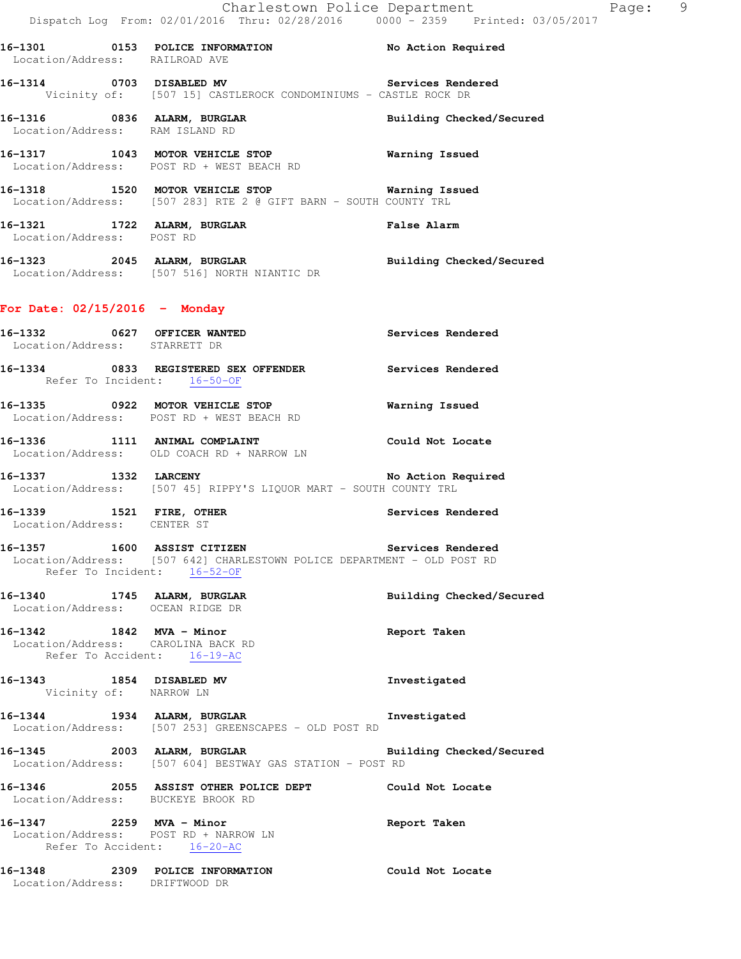**16-1301 0153 POLICE INFORMATION No Action Required**  Location/Address: RAILROAD AVE **16-1314 0703 DISABLED MV Services Rendered**  Vicinity of: [507 15] CASTLEROCK CONDOMINIUMS - CASTLE ROCK DR **16-1316 0836 ALARM, BURGLAR Building Checked/Secured**  Location/Address: RAM ISLAND RD **16-1317 1043 MOTOR VEHICLE STOP Warning Issued**  Location/Address: POST RD + WEST BEACH RD **16-1318 1520 MOTOR VEHICLE STOP Warning Issued**  Location/Address: [507 283] RTE 2 @ GIFT BARN - SOUTH COUNTY TRL **16-1321 1722 ALARM, BURGLAR False Alarm**  Location/Address: POST RD **16-1323 2045 ALARM, BURGLAR Building Checked/Secured**  Location/Address: [507 516] NORTH NIANTIC DR **For Date: 02/15/2016 - Monday** 16-1332 0627 OFFICER WANTED Services Rendered Location/Address: STARRETT DR **16-1334 0833 REGISTERED SEX OFFENDER Services Rendered**  Refer To Incident: 16-50-OF **16-1335 0922 MOTOR VEHICLE STOP Warning Issued**  Location/Address: POST RD + WEST BEACH RD **16-1336 1111 ANIMAL COMPLAINT Could Not Locate**  Location/Address: OLD COACH RD + NARROW LN **16-1337 1332 LARCENY No Action Required**  Location/Address: [507 45] RIPPY'S LIQUOR MART - SOUTH COUNTY TRL **16-1339 1521 FIRE, OTHER Services Rendered**  Location/Address: CENTER ST **16-1357 1600 ASSIST CITIZEN Services Rendered**  Location/Address: [507 642] CHARLESTOWN POLICE DEPARTMENT - OLD POST RD Refer To Incident: 16-52-OF **16-1340 1745 ALARM, BURGLAR Building Checked/Secured**  Location/Address: OCEAN RIDGE DR **16-1342 1842 MVA - Minor Report Taken**  Location/Address: CAROLINA BACK RD Refer To Accident: 16-19-AC **16-1343 1854 DISABLED MV Investigated**  Vicinity of: NARROW LN **16-1344 1934 ALARM, BURGLAR Investigated**  Location/Address: [507 253] GREENSCAPES - OLD POST RD **16-1345 2003 ALARM, BURGLAR Building Checked/Secured**  Location/Address: [507 604] BESTWAY GAS STATION - POST RD **16-1346 2055 ASSIST OTHER POLICE DEPT Could Not Locate**  Location/Address: BUCKEYE BROOK RD **16-1347 2259 MVA - Minor Report Taken**  Location/Address: POST RD + NARROW LN Refer To Accident: 16-20-AC **16-1348 2309 POLICE INFORMATION Could Not Locate**  Location/Address: DRIFTWOOD DR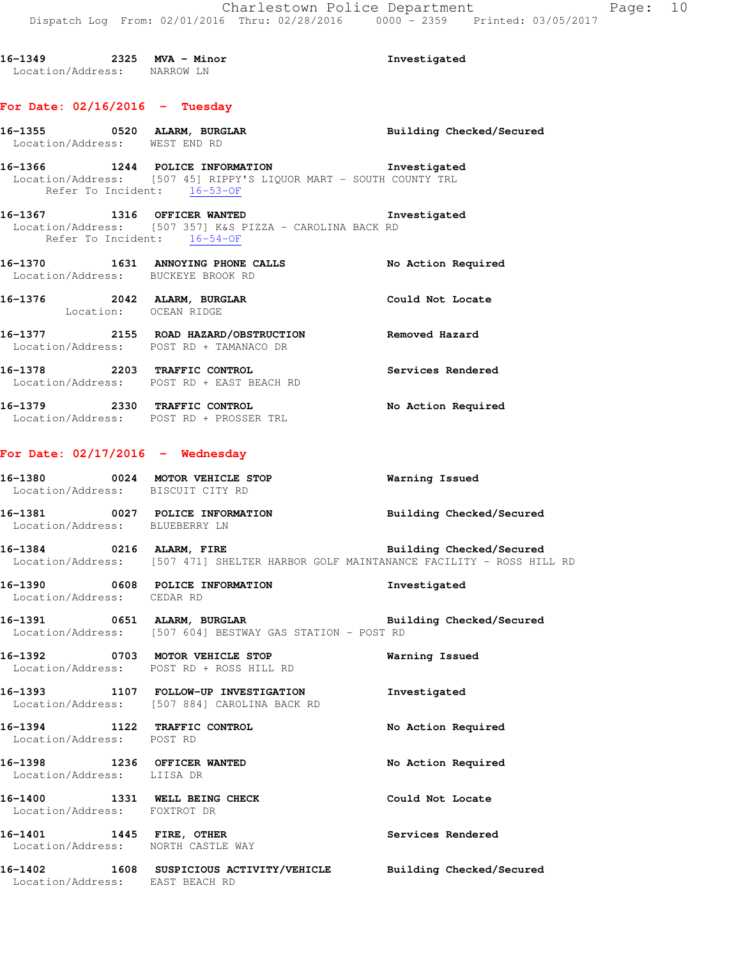| 16-1349           | 2325 MVA - Minor | Investigated |
|-------------------|------------------|--------------|
| Location/Address: | NARROW LN        |              |

## **For Date: 02/16/2016 - Tuesday**

| 16–1355<br>Location/Address: WEST END RD | 0520 | ALARM, BURGLAR                                                                                   | Building Checked/Secured |
|------------------------------------------|------|--------------------------------------------------------------------------------------------------|--------------------------|
| 16–1366                                  | 1244 | POLICE INFORMATION                                                                               | Investigated             |
|                                          |      | Location/Address: [507 45] RIPPY'S LIOUOR MART - SOUTH COUNTY TRL<br>Refer To Incident: 16-53-OF |                          |
| 16–1367                                  | 1316 | <b>OFFICER WANTED</b>                                                                            | Investigated             |
|                                          |      | Location/Address: [507 357] K&S PIZZA - CAROLINA BACK RD                                         |                          |
|                                          |      | Refer To Incident: 16-54-OF                                                                      |                          |
| 16–1370<br>Location/Address:             | 1631 | ANNOYING PHONE CALLS<br>BUCKEYE BROOK RD                                                         | No Action Required       |

**16-1376 2042 ALARM, BURGLAR Could Not Locate**  Location: OCEAN RIDGE **16-1377 2155 ROAD HAZARD/OBSTRUCTION Removed Hazard** 

 Location/Address: POST RD + TAMANACO DR **16-1378 2203 TRAFFIC CONTROL Services Rendered**  Location/Address: POST RD + EAST BEACH RD

**16-1379 2330 TRAFFIC CONTROL No Action Required**  Location/Address: POST RD + PROSSER TRL

#### **For Date: 02/17/2016 - Wednesday**

| 16-1380 | 0024 | <b>MOTOR VEHICLE STOP</b>         | Warning Issued                                                                                                       |
|---------|------|-----------------------------------|----------------------------------------------------------------------------------------------------------------------|
|         |      | Location/Address: BISCUIT CITY RD |                                                                                                                      |
| .       |      |                                   | <u>a matematika sebagai kecamatan di kacamatan di kacamatan di kacamatan di kacamatan di kacamatan di kacamatan </u> |

**16-1381 0027 POLICE INFORMATION Building Checked/Secured**  Location/Address: BLUEBERRY LN

**16-1384 0216 ALARM, FIRE Building Checked/Secured**  Location/Address: [507 471] SHELTER HARBOR GOLF MAINTANANCE FACILITY - ROSS HILL RD

**16-1390 0608 POLICE INFORMATION Investigated**  Location/Address: CEDAR RD

**16-1391 0651 ALARM, BURGLAR Building Checked/Secured**  Location/Address: [507 604] BESTWAY GAS STATION - POST RD

**16-1392 0703 MOTOR VEHICLE STOP Warning Issued**  Location/Address: POST RD + ROSS HILL RD

**16-1393 1107 FOLLOW-UP INVESTIGATION Investigated**  Location/Address: [507 884] CAROLINA BACK RD

**16-1394 1122 TRAFFIC CONTROL No Action Required**  Location/Address: POST RD

**16-1398 1236 OFFICER WANTED No Action Required**  Location/Address: LIISA DR

16-1400 1331 WELL BEING CHECK COULD Not Locate Location/Address: FOXTROT DR

16-1401 **1445 FIRE, OTHER Services Rendered** Location/Address: NORTH CASTLE WAY

**16-1402 1608 SUSPICIOUS ACTIVITY/VEHICLE Building Checked/Secured**  Location/Address: EAST BEACH RD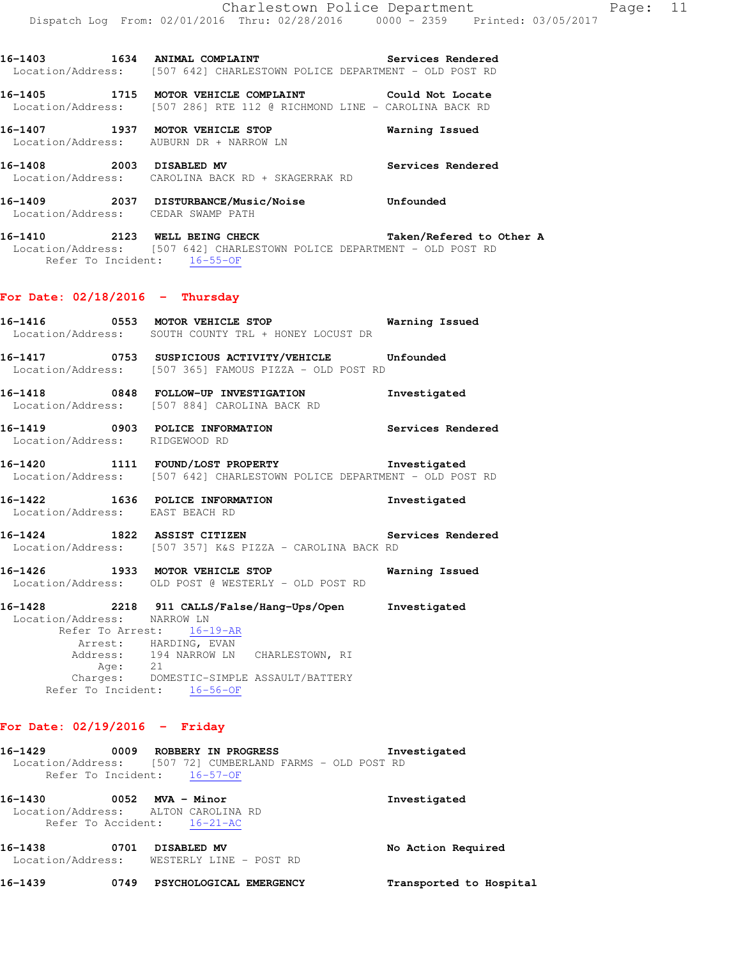16-1403 **1634 ANIMAL COMPLAINT 16-1403** Services Rendered Location/Address: [507 642] CHARLESTOWN POLICE DEPARTMENT - OLD POST RD

**16-1405 1715 MOTOR VEHICLE COMPLAINT Could Not Locate**  Location/Address: [507 286] RTE 112 @ RICHMOND LINE - CAROLINA BACK RD

**16-1407 1937 MOTOR VEHICLE STOP Warning Issued**  Location/Address: AUBURN DR + NARROW LN

**16-1408 2003 DISABLED MV Services Rendered**  Location/Address: CAROLINA BACK RD + SKAGERRAK RD

**16-1409 2037 DISTURBANCE/Music/Noise Unfounded**  Location/Address: CEDAR SWAMP PATH

16-1410 **2123** WELL BEING CHECK **Taken/Refered to Other A**  Location/Address: [507 642] CHARLESTOWN POLICE DEPARTMENT - OLD POST RD Refer To Incident: 16-55-OF

### **For Date: 02/18/2016 - Thursday**

**16-1416 0553 MOTOR VEHICLE STOP Warning Issued**  Location/Address: SOUTH COUNTY TRL + HONEY LOCUST DR

**16-1417 0753 SUSPICIOUS ACTIVITY/VEHICLE Unfounded**  Location/Address: [507 365] FAMOUS PIZZA - OLD POST RD

**16-1418 0848 FOLLOW-UP INVESTIGATION Investigated**  Location/Address: [507 884] CAROLINA BACK RD

**16-1419 0903 POLICE INFORMATION Services Rendered**  Location/Address: RIDGEWOOD RD

**16-1420 1111 FOUND/LOST PROPERTY Investigated**  Location/Address: [507 642] CHARLESTOWN POLICE DEPARTMENT - OLD POST RD

**16-1422 1636 POLICE INFORMATION Investigated**  Location/Address: EAST BEACH RD

**16-1424 1822 ASSIST CITIZEN Services Rendered**  Location/Address: [507 357] K&S PIZZA - CAROLINA BACK RD

**16-1426 1933 MOTOR VEHICLE STOP Warning Issued**  Location/Address: OLD POST @ WESTERLY - OLD POST RD

**16-1428 2218 911 CALLS/False/Hang-Ups/Open Investigated**  Location/Address: NARROW LN Refer To Arrest: 16-19-AR Arrest: HARDING, EVAN Address: 194 NARROW LN CHARLESTOWN, RI<br>Age: 21 Age: 21 Charges: DOMESTIC-SIMPLE ASSAULT/BATTERY Refer To Incident: 16-56-OF

## **For Date: 02/19/2016 - Friday**

**16-1429 0009 ROBBERY IN PROGRESS Investigated**  Location/Address: [507 72] CUMBERLAND FARMS - OLD POST RD Refer To Incident: 16-57-OF **16-1430 0052 MVA - Minor Investigated**  Location/Address: ALTON CAROLINA RD Refer To Accident: 16-21-AC **16-1438 0701 DISABLED MV No Action Required**  Location/Address: WESTERLY LINE - POST RD **16-1439 0749 PSYCHOLOGICAL EMERGENCY Transported to Hospital**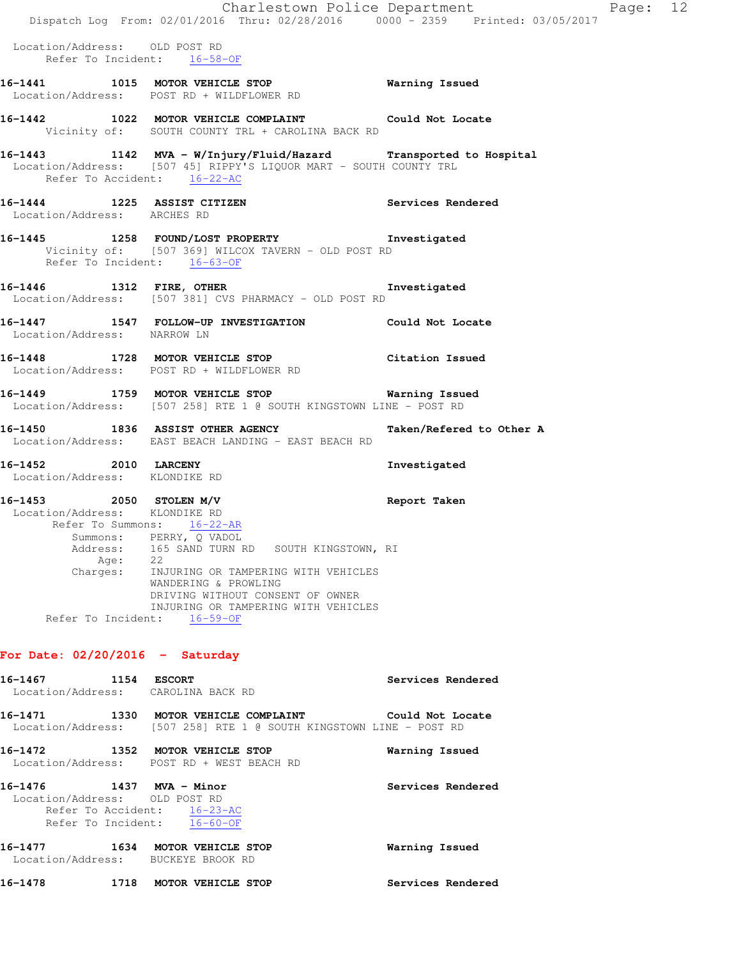|                                                                                                | Dispatch Log From: 02/01/2016 Thru: 02/28/2016 0000 - 2359 Printed: 03/05/2017                                                                                                                                                    | Charlestown Police Department<br>P |
|------------------------------------------------------------------------------------------------|-----------------------------------------------------------------------------------------------------------------------------------------------------------------------------------------------------------------------------------|------------------------------------|
| Location/Address: OLD POST RD<br>Refer To Incident: 16-58-OF                                   |                                                                                                                                                                                                                                   |                                    |
|                                                                                                | 16-1441 1015 MOTOR VEHICLE STOP 6 Warning Issued<br>Location/Address: POST RD + WILDFLOWER RD                                                                                                                                     |                                    |
|                                                                                                | 16-1442 1022 MOTOR VEHICLE COMPLAINT Could Not Locate<br>Vicinity of: SOUTH COUNTY TRL + CAROLINA BACK RD                                                                                                                         |                                    |
| Refer To Accident: 16-22-AC                                                                    | 16-1443 1142 MVA - W/Injury/Fluid/Hazard Transported to Hospital Location/Address: [507 45] RIPPY'S LIQUOR MART - SOUTH COUNTY TRL                                                                                                |                                    |
| Location/Address: ARCHES RD                                                                    | 16-1444 1225 ASSIST CITIZEN Services Rendered                                                                                                                                                                                     |                                    |
| Refer To Incident: 16-63-OF                                                                    | 16-1445 1258 FOUND/LOST PROPERTY 1nvestigated<br>Vicinity of: [507 369] WILCOX TAVERN - OLD POST RD                                                                                                                               |                                    |
|                                                                                                | 16-1446 1312 FIRE, OTHER 16-1446<br>Location/Address: [507 381] CVS PHARMACY - OLD POST RD                                                                                                                                        |                                    |
|                                                                                                | 16-1447   1547   FOLLOW-UP INVESTIGATION   Could Not Locate Location/Address:   NARROW LN                                                                                                                                         |                                    |
|                                                                                                | 16-1448 1728 MOTOR VEHICLE STOP Citation Issued<br>Location/Address: POST RD + WILDFLOWER RD                                                                                                                                      |                                    |
|                                                                                                | 16-1449 1759 MOTOR VEHICLE STOP Warning Issued<br>Location/Address: [507 258] RTE 1 @ SOUTH KINGSTOWN LINE - POST RD                                                                                                              |                                    |
|                                                                                                | 16-1450 1836 ASSIST OTHER AGENCY<br>Location/Address: EAST BEACH LANDING - EAST BEACH RD                                                                                                                                          | Taken/Refered to Other A           |
|                                                                                                | 16-1452 2010 LARCENY<br>Location/Address: KLONDIKE RD                                                                                                                                                                             | Investigated                       |
| 16-1453 2050 STOLEN M/V<br>Location/Address: KLONDIKE RD<br>Refer To Summons: 16-22-AR<br>Age: | Summons: PERRY, Q VADOL<br>Address: 165 SAND TURN RD SOUTH KINGSTOWN, RI<br>22<br>Charges: INJURING OR TAMPERING WITH VEHICLES<br>WANDERING & PROWLING<br>DRIVING WITHOUT CONSENT OF OWNER<br>INJURING OR TAMPERING WITH VEHICLES | Report Taken                       |
| For Date: $02/20/2016$ - Saturday                                                              | Refer To Incident: 16-59-OF                                                                                                                                                                                                       |                                    |
| 16-1467 1154 ESCORT<br>Location/Address: CAROLINA BACK RD                                      |                                                                                                                                                                                                                                   | Services Rendered                  |
| 16-1471                                                                                        | 1330 MOTOR VEHICLE COMPLAINT<br>Location/Address: [507 258] RTE 1 @ SOUTH KINGSTOWN LINE - POST RD                                                                                                                                | Could Not Locate                   |
|                                                                                                | 16-1472 1352 MOTOR VEHICLE STOP<br>Location/Address: POST RD + WEST BEACH RD                                                                                                                                                      | Warning Issued                     |
| 16-1476 1437 MVA - Minor<br>Location/Address: OLD POST RD<br>Refer To Accident: 16-23-AC       |                                                                                                                                                                                                                                   | Services Rendered                  |

**16-1477 1634 MOTOR VEHICLE STOP Warning Issued**  Location/Address: BUCKEYE BROOK RD 16-1478 **1718** MOTOR VEHICLE STOP **16-1478** Services Rendered

Refer To Incident: 16-60-OF

Page: 12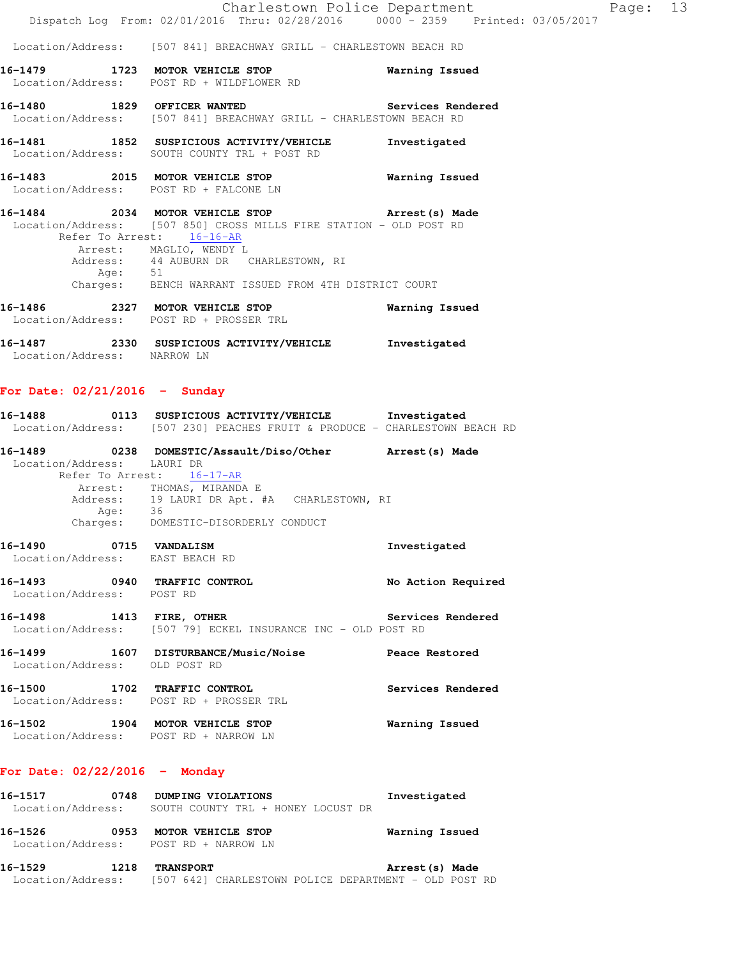|                                 | Charlestown Police Department                                                                     | Dispatch Log From: 02/01/2016 Thru: 02/28/2016 0000 - 2359 Printed: 03/05/2017 | Page: | 13 |
|---------------------------------|---------------------------------------------------------------------------------------------------|--------------------------------------------------------------------------------|-------|----|
|                                 | Location/Address: [507 841] BREACHWAY GRILL - CHARLESTOWN BEACH RD                                |                                                                                |       |    |
|                                 | Location/Address: POST RD + WILDFLOWER RD                                                         | Warning Issued                                                                 |       |    |
| 16-1480 1829 OFFICER WANTED     | Location/Address: [507 841] BREACHWAY GRILL - CHARLESTOWN BEACH RD                                | Services Rendered                                                              |       |    |
|                                 | 16-1481      1852     SUSPICIOUS ACTIVITY/VEHICLE<br>Location/Address: SOUTH COUNTY TRL + POST RD | Investigated                                                                   |       |    |
| 16-1483 2015 MOTOR VEHICLE STOP | Location/Address: POST RD + FALCONE LN                                                            | Warning Issued                                                                 |       |    |
|                                 | Location/Address: [507 850] CROSS MILLS FIRE STATION - OLD POST RD<br>Refer To Arrest: 16-16-AR   |                                                                                |       |    |

| 16-1489           |                  | 0238 DOMESTIC/Assault/Diso/Other    | Arrest (s) Made    |
|-------------------|------------------|-------------------------------------|--------------------|
| Location/Address: |                  | LAURI DR                            |                    |
|                   | Refer To Arrest: | $16 - 17 - AR$                      |                    |
|                   | Arrest:          | THOMAS, MIRANDA E                   |                    |
|                   | Address:         | 19 LAURI DR Apt. #A CHARLESTOWN, RI |                    |
|                   | Age:             | 36                                  |                    |
|                   | Charges:         | DOMESTIC-DISORDERLY CONDUCT         |                    |
| 16-1490           | 0715             | <b>VANDALISM</b>                    | Investigated       |
|                   |                  | Location/Address: EAST BEACH RD     |                    |
| 16-1493           | 0940             | TRAFFIC CONTROL                     | No Action Required |
| Location/Address: |                  | POST RD                             |                    |
| 16-1498           | 1413             | FIRE.<br><b>OTHER</b>               | Services Rendered  |

Charges: BENCH WARRANT ISSUED FROM 4TH DISTRICT COURT

**16-1486 2327 MOTOR VEHICLE STOP Warning Issued** 

**16-1487 2330 SUSPICIOUS ACTIVITY/VEHICLE Investigated** 

**16-1488 0113 SUSPICIOUS ACTIVITY/VEHICLE Investigated** 

Location/Address: [507 230] PEACHES FRUIT & PRODUCE - CHARLESTOWN BEACH RD

Location/Address: [507 79] ECKEL INSURANCE INC - OLD POST RD

**16-1499 1607 DISTURBANCE/Music/Noise Peace Restored**  Location/Address: OLD POST RD **16-1500 1702 TRAFFIC CONTROL Services Rendered** 

 Location/Address: POST RD + PROSSER TRL **16-1502 1904 MOTOR VEHICLE STOP Warning Issued**  Location/Address: POST RD + NARROW LN

### **For Date: 02/22/2016 - Monday**

Arrest: MAGLIO, WENDY L

Location/Address: NARROW LN

**For Date: 02/21/2016 - Sunday**

Location/Address: POST RD + PROSSER TRL

Age: 51

Address: 44 AUBURN DR CHARLESTOWN, RI

| 16–1517           | 0748 | DUMPING VIOLATIONS                 | Investigated   |
|-------------------|------|------------------------------------|----------------|
| Location/Address: |      | SOUTH COUNTY TRL + HONEY LOCUST DR |                |
| 16–1526           | 0953 | MOTOR VEHICLE STOP                 | Warning Issued |
| Location/Address: |      | POST RD + NARROW LN                |                |

**16-1529 1218 TRANSPORT Arrest(s) Made**  Location/Address: [507 642] CHARLESTOWN POLICE DEPARTMENT - OLD POST RD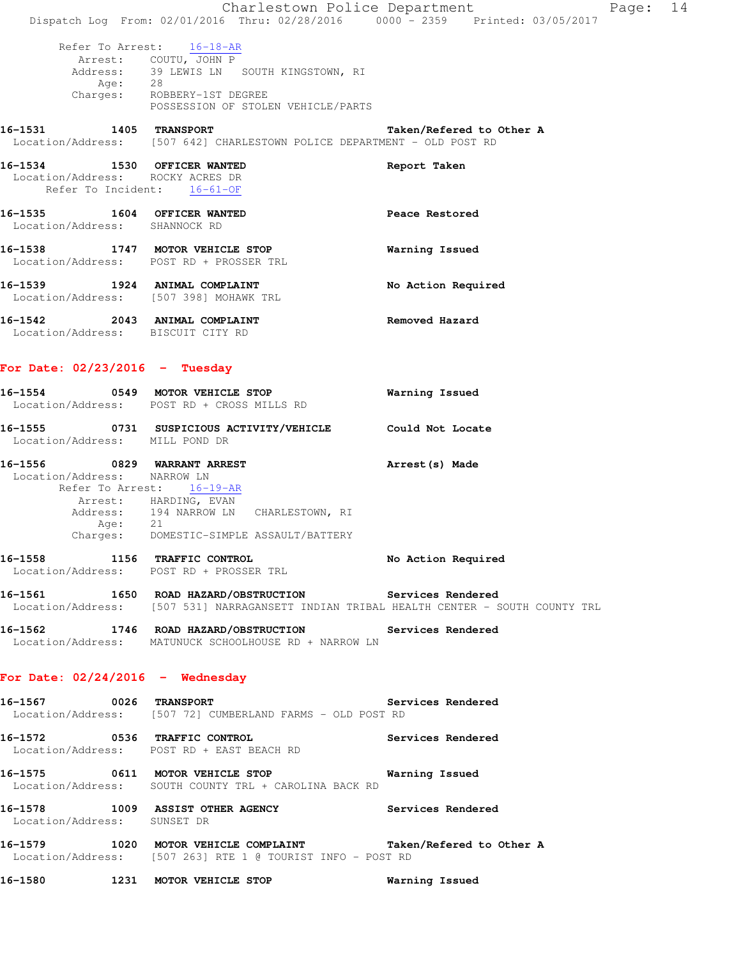Charlestown Police Department Page: 14 Dispatch Log From: 02/01/2016 Thru: 02/28/2016 0000 - 2359 Printed: 03/05/2017 Refer To Arrest:  $16-18-AR$ Arrest: COUTU, JOHN P Address: 39 LEWIS LN SOUTH KINGSTOWN, RI<br>Age: 28 Age: 28 Charges: ROBBERY-1ST DEGREE POSSESSION OF STOLEN VEHICLE/PARTS **16-1531 1405 TRANSPORT Taken/Refered to Other A**  Location/Address: [507 642] CHARLESTOWN POLICE DEPARTMENT - OLD POST RD **16-1534 1530 OFFICER WANTED Report Taken**  Location/Address: ROCKY ACRES DR Refer To Incident: 16-61-OF **16-1535 1604 OFFICER WANTED Peace Restored**  Location/Address: SHANNOCK RD **16-1538 1747 MOTOR VEHICLE STOP Warning Issued**  Location/Address: POST RD + PROSSER TRL **16-1539 1924 ANIMAL COMPLAINT No Action Required**  Location/Address: [507 398] MOHAWK TRL **16-1542 2043 ANIMAL COMPLAINT Removed Hazard**  Location/Address: BISCUIT CITY RD **For Date: 02/23/2016 - Tuesday 16-1554 0549 MOTOR VEHICLE STOP Warning Issued**  Location/Address: POST RD + CROSS MILLS RD **16-1555 0731 SUSPICIOUS ACTIVITY/VEHICLE Could Not Locate**  Location/Address: MILL POND DR **16-1556 0829 WARRANT ARREST Arrest(s) Made**  Location/Address: NARROW LN Refer To Arrest: 16-19-AR Arrest: HARDING, EVAN Address: 194 NARROW LN CHARLESTOWN, RI Age: 21 Charges: DOMESTIC-SIMPLE ASSAULT/BATTERY **16-1558 1156 TRAFFIC CONTROL No Action Required**  Location/Address: POST RD + PROSSER TRL **16-1561 1650 ROAD HAZARD/OBSTRUCTION Services Rendered**  Location/Address: [507 531] NARRAGANSETT INDIAN TRIBAL HEALTH CENTER - SOUTH COUNTY TRL **16-1562 1746 ROAD HAZARD/OBSTRUCTION Services Rendered**  Location/Address: MATUNUCK SCHOOLHOUSE RD + NARROW LN **For Date: 02/24/2016 - Wednesday 16-1567 0026 TRANSPORT Services Rendered**  Location/Address: [507 72] CUMBERLAND FARMS - OLD POST RD **16-1572 0536 TRAFFIC CONTROL Services Rendered**  Location/Address: POST RD + EAST BEACH RD **16-1575 0611 MOTOR VEHICLE STOP Warning Issued**  Location/Address: SOUTH COUNTY TRL + CAROLINA BACK RD **16-1578 1009 ASSIST OTHER AGENCY Services Rendered**  Location/Address: SUNSET DR **16-1579 1020 MOTOR VEHICLE COMPLAINT Taken/Refered to Other A**  Location/Address: [507 263] RTE 1 @ TOURIST INFO - POST RD **16-1580 1231 MOTOR VEHICLE STOP Warning Issued**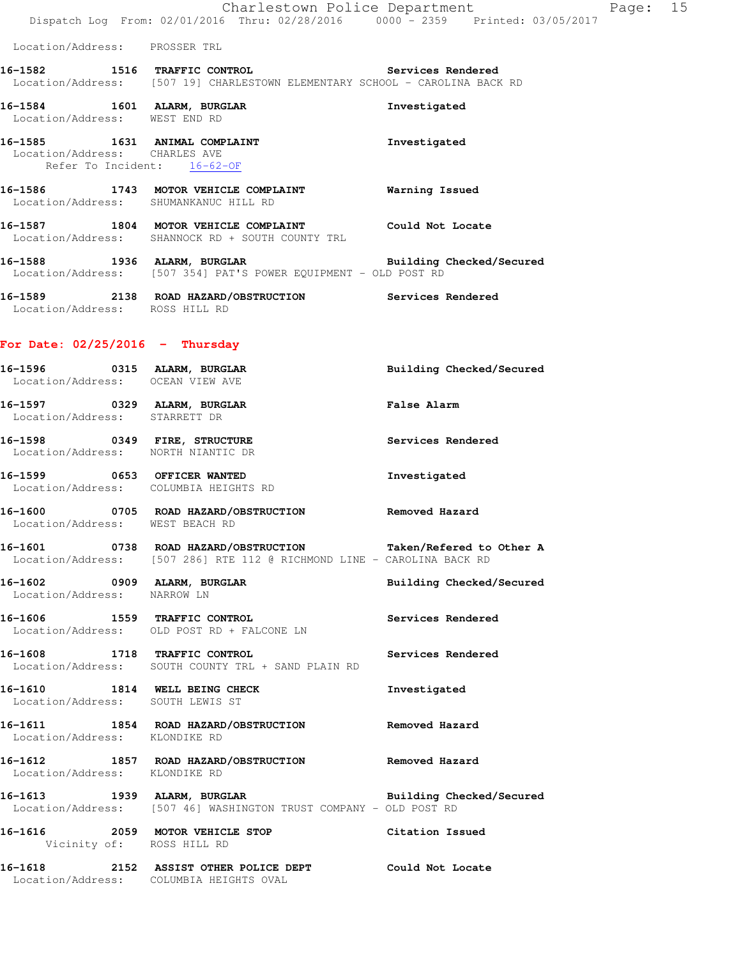|                                                |  |  | Charlestown Police Department   |  | Page: 15 |  |
|------------------------------------------------|--|--|---------------------------------|--|----------|--|
| Dispatch Log From: 02/01/2016 Thru: 02/28/2016 |  |  | 0000 - 2359 Printed: 03/05/2017 |  |          |  |

Location/Address: PROSSER TRL

# **16-1582 1516 TRAFFIC CONTROL Services Rendered**  Location/Address: [507 19] CHARLESTOWN ELEMENTARY SCHOOL - CAROLINA BACK RD

**16-1584 1601 ALARM, BURGLAR Investigated**  Location/Address: WEST END RD

**16-1585 1631 ANIMAL COMPLAINT Investigated**  Location/Address: CHARLES AVE Refer To Incident: 16-62-OF

# **16-1586 1743 MOTOR VEHICLE COMPLAINT Warning Issued**  Location/Address: SHUMANKANUC HILL RD

**16-1587 1804 MOTOR VEHICLE COMPLAINT Could Not Locate**  Location/Address: SHANNOCK RD + SOUTH COUNTY TRL

- **16-1588 1936 ALARM, BURGLAR Building Checked/Secured**  Location/Address: [507 354] PAT'S POWER EQUIPMENT - OLD POST RD
- **16-1589 2138 ROAD HAZARD/OBSTRUCTION Services Rendered**  Location/Address: ROSS HILL RD

### **For Date: 02/25/2016 - Thursday**

| 16-1596 0315 ALARM, BURGLAR<br>Location/Address: OCEAN VIEW AVE   |                                                                                                                                         | Building Checked/Secured |
|-------------------------------------------------------------------|-----------------------------------------------------------------------------------------------------------------------------------------|--------------------------|
|                                                                   | 16-1597 <b>0329 ALARM, BURGLAR 16-1597</b> False Alarm<br>Location/Address: STARRETT DR                                                 |                          |
|                                                                   | 16-1598 0349 FIRE, STRUCTURE<br>Location/Address: MORTH NIANTIC DR                                                                      | Services Rendered        |
|                                                                   | 16-1599 0653 OFFICER WANTED<br>Location/Address: COLUMBIA HEIGHTS RD                                                                    | Investigated             |
| Location/Address: WEST BEACH RD                                   | 16-1600  0705  ROAD HAZARD/OBSTRUCTION  Removed Hazard                                                                                  |                          |
|                                                                   | 16-1601 0738 ROAD HAZARD/OBSTRUCTION Taken/Refered to Other A<br>Location/Address: [507 286] RTE 112 @ RICHMOND LINE - CAROLINA BACK RD |                          |
|                                                                   | 16-1602 0909 ALARM, BURGLAR<br>Location/Address: NARROW LN                                                                              | Building Checked/Secured |
|                                                                   | 16-1606 1559 TRAFFIC CONTROL 159 Services Rendered<br>Location/Address: OLD POST RD + FALCONE LN                                        |                          |
|                                                                   | 16-1608 1718 TRAFFIC CONTROL Services Rendered Location/Address: SOUTH COUNTY TRL + SAND PLAIN RD                                       |                          |
| 16-1610 1814 WELL BEING CHECK<br>Location/Address: SOUTH LEWIS ST |                                                                                                                                         | Investigated             |
|                                                                   | 16-1611 1854 ROAD HAZARD/OBSTRUCTION Removed Hazard<br>Location/Address: KLONDIKE RD                                                    |                          |
|                                                                   | 16-1612 1857 ROAD HAZARD/OBSTRUCTION Removed Hazard<br>Location/Address: KLONDIKE RD                                                    |                          |
|                                                                   | 16-1613 1939 ALARM, BURGLAR BURGINER Building Checked/Secured<br>Location/Address: [507 46] WASHINGTON TRUST COMPANY - OLD POST RD      |                          |
|                                                                   | 16-1616 2059 MOTOR VEHICLE STOP Citation Issued Vicinity of: ROSS HILL RD                                                               |                          |
|                                                                   | 16-1618<br>16-1618 2152 ASSIST OTHER POLICE DEPT Could Not Locate<br>Location/Address: COLUMBIA HEIGHTS OVAL                            |                          |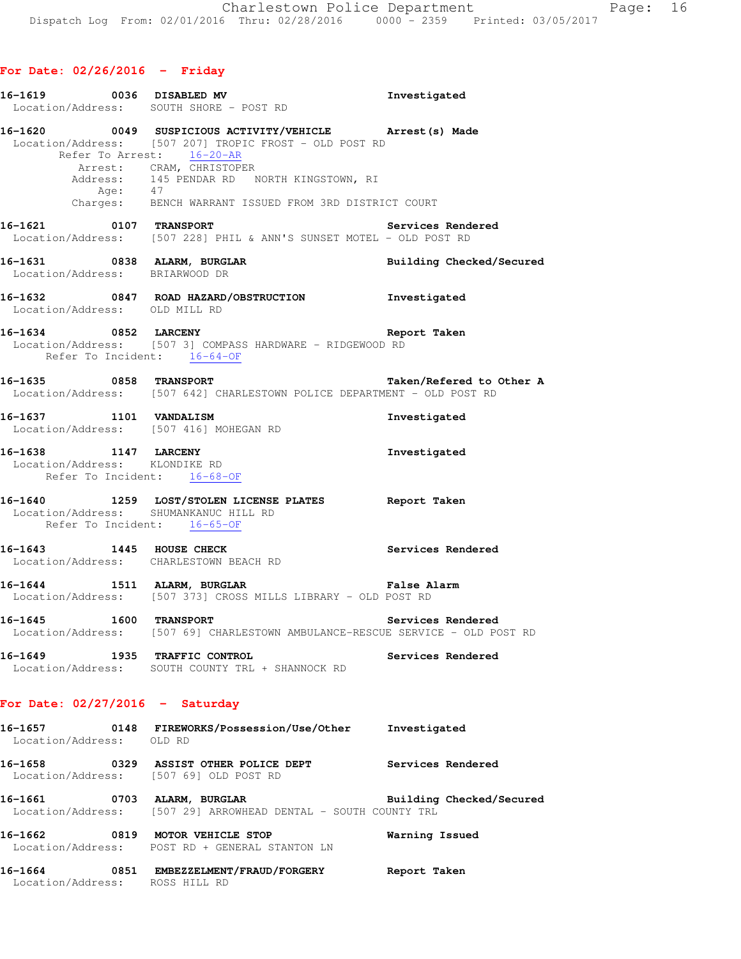|                            | 16-1619 0036 DISABLED MV                                                             |                                                                                                                   | Investigated                                                                                       |
|----------------------------|--------------------------------------------------------------------------------------|-------------------------------------------------------------------------------------------------------------------|----------------------------------------------------------------------------------------------------|
|                            | Location/Address: SOUTH SHORE - POST RD                                              |                                                                                                                   |                                                                                                    |
|                            | Refer To Arrest: 16-20-AR<br>Arrest: CRAM, CHRISTOPER                                | 16-1620 0049 SUSPICIOUS ACTIVITY/VEHICLE Arrest(s) Made<br>Location/Address: [507 207] TROPIC FROST - OLD POST RD |                                                                                                    |
|                            |                                                                                      | Address: 145 PENDAR RD NORTH KINGSTOWN, RI<br>Age: 47<br>Charges: BENCH WARRANT ISSUED FROM 3RD DISTRICT COURT    |                                                                                                    |
| 16-1621 0107 TRANSPORT     |                                                                                      | <b>Services Rendered</b><br>Location/Address: [507 228] PHIL & ANN'S SUNSET MOTEL - OLD POST RD                   |                                                                                                    |
|                            | 16-1631 0838 ALARM, BURGLAR<br>Location/Address: BRIARWOOD DR                        |                                                                                                                   | Building Checked/Secured                                                                           |
|                            | Location/Address: OLD MILL RD                                                        | 16-1632 0847 ROAD HAZARD/OBSTRUCTION Investigated                                                                 |                                                                                                    |
|                            | 16-1634 0852 LARCENY<br>Refer To Incident: 16-64-OF                                  | Location/Address: [507 3] COMPASS HARDWARE - RIDGEWOOD RD                                                         | Report Taken                                                                                       |
|                            | 16-1635 0858 TRANSPORT                                                               | Location/Address: [507 642] CHARLESTOWN POLICE DEPARTMENT - OLD POST RD                                           | Taken/Refered to Other A                                                                           |
|                            | 16-1637 1101 VANDALISM<br>Location/Address: [507 416] MOHEGAN RD                     |                                                                                                                   | Investigated                                                                                       |
|                            | 16-1638 1147 LARCENY<br>Location/Address: KLONDIKE RD<br>Refer To Incident: 16-68-OF |                                                                                                                   | Investigated                                                                                       |
|                            | Location/Address: SHUMANKANUC HILL RD<br>Refer To Incident: 16-65-OF                 | 16-1640 1259 LOST/STOLEN LICENSE PLATES Report Taken                                                              |                                                                                                    |
|                            | 16-1643 1445 HOUSE CHECK<br>Location/Address: CHARLESTOWN BEACH RD                   |                                                                                                                   | Services Rendered                                                                                  |
|                            |                                                                                      | 16-1644 1511 ALARM, BURGLAR 1988 1988 12<br>Location/Address: [507 373] CROSS MILLS LIBRARY - OLD POST RD         |                                                                                                    |
| 16-1645   1600   TRANSPORT |                                                                                      |                                                                                                                   | Services Rendered<br>Location/Address: [507 69] CHARLESTOWN AMBULANCE-RESCUE SERVICE - OLD POST RD |
|                            | 16-1649 1935 TRAFFIC CONTROL<br>Location/Address: SOUTH COUNTY TRL + SHANNOCK RD     |                                                                                                                   | Services Rendered                                                                                  |
|                            | For Date: $02/27/2016$ - Saturday                                                    |                                                                                                                   |                                                                                                    |
| Location/Address: OLD RD   |                                                                                      | 16-1657 0148 FIREWORKS/Possession/Use/Other Investigated                                                          |                                                                                                    |
|                            | Location/Address: [507 69] OLD POST RD                                               | 16-1658 		 0329 ASSIST OTHER POLICE DEPT Services Rendered                                                        |                                                                                                    |
|                            | 16-1661 0703 ALARM, BURGLAR                                                          | Location/Address: [507 29] ARROWHEAD DENTAL - SOUTH COUNTY TRL                                                    | Building Checked/Secured                                                                           |
|                            | 16-1662 0819 MOTOR VEHICLE STOP<br>Location/Address: POST RD + GENERAL STANTON LN    |                                                                                                                   | Warning Issued                                                                                     |
|                            | Location/Address: ROSS HILL RD                                                       | 16-1664 0851 EMBEZZELMENT/FRAUD/FORGERY Report Taken                                                              |                                                                                                    |